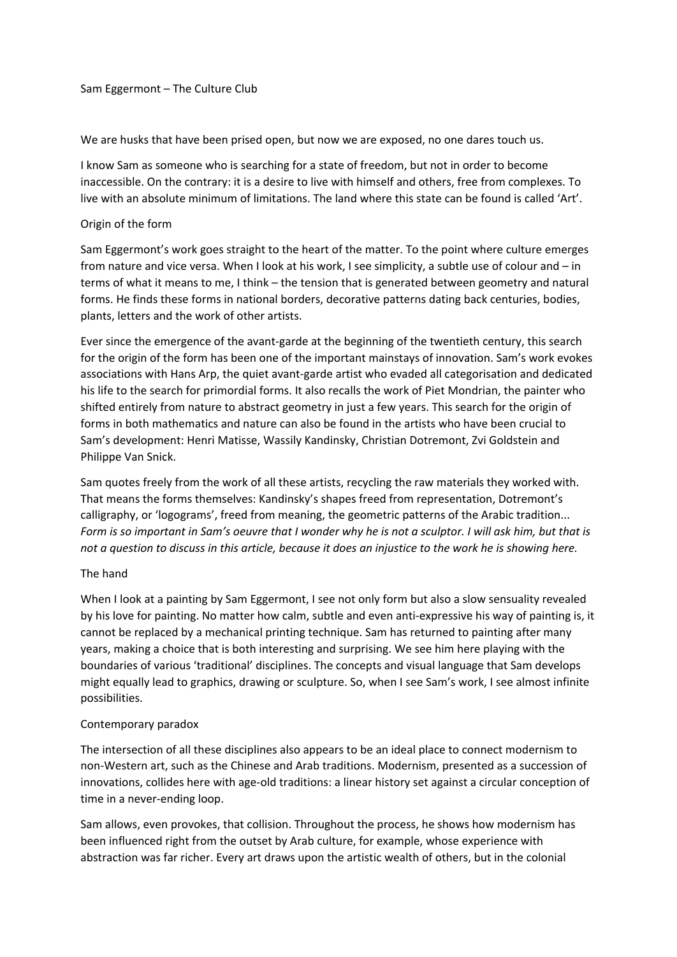Sam Eggermont – The Culture Club

We are husks that have been prised open, but now we are exposed, no one dares touch us.

I know Sam as someone who is searching for a state of freedom, but not in order to become inaccessible. On the contrary: it is a desire to live with himself and others, free from complexes. To live with an absolute minimum of limitations. The land where this state can be found is called 'Art'.

# Origin of the form

Sam Eggermont's work goes straight to the heart of the matter. To the point where culture emerges from nature and vice versa. When I look at his work, I see simplicity, a subtle use of colour and – in terms of what it means to me, I think – the tension that is generated between geometry and natural forms. He finds these forms in national borders, decorative patterns dating back centuries, bodies, plants, letters and the work of other artists.

Ever since the emergence of the avant-garde at the beginning of the twentieth century, this search for the origin of the form has been one of the important mainstays of innovation. Sam's work evokes associations with Hans Arp, the quiet avant-garde artist who evaded all categorisation and dedicated his life to the search for primordial forms. It also recalls the work of Piet Mondrian, the painter who shifted entirely from nature to abstract geometry in just a few years. This search for the origin of forms in both mathematics and nature can also be found in the artists who have been crucial to Sam's development: Henri Matisse, Wassily Kandinsky, Christian Dotremont, Zvi Goldstein and Philippe Van Snick.

Sam quotes freely from the work of all these artists, recycling the raw materials they worked with. That means the forms themselves: Kandinsky's shapes freed from representation, Dotremont's calligraphy, or 'logograms', freed from meaning, the geometric patterns of the Arabic tradition... *Form is so important in Sam's oeuvre that I wonder why he is not a sculptor. I will ask him, but that is not a question to discuss in this article, because it does an injustice to the work he is showing here.*

# The hand

When I look at a painting by Sam Eggermont, I see not only form but also a slow sensuality revealed by his love for painting. No matter how calm, subtle and even anti-expressive his way of painting is, it cannot be replaced by a mechanical printing technique. Sam has returned to painting after many years, making a choice that is both interesting and surprising. We see him here playing with the boundaries of various 'traditional' disciplines. The concepts and visual language that Sam develops might equally lead to graphics, drawing or sculpture. So, when I see Sam's work, I see almost infinite possibilities.

# Contemporary paradox

The intersection of all these disciplines also appears to be an ideal place to connect modernism to non-Western art, such as the Chinese and Arab traditions. Modernism, presented as a succession of innovations, collides here with age-old traditions: a linear history set against a circular conception of time in a never-ending loop.

Sam allows, even provokes, that collision. Throughout the process, he shows how modernism has been influenced right from the outset by Arab culture, for example, whose experience with abstraction was far richer. Every art draws upon the artistic wealth of others, but in the colonial